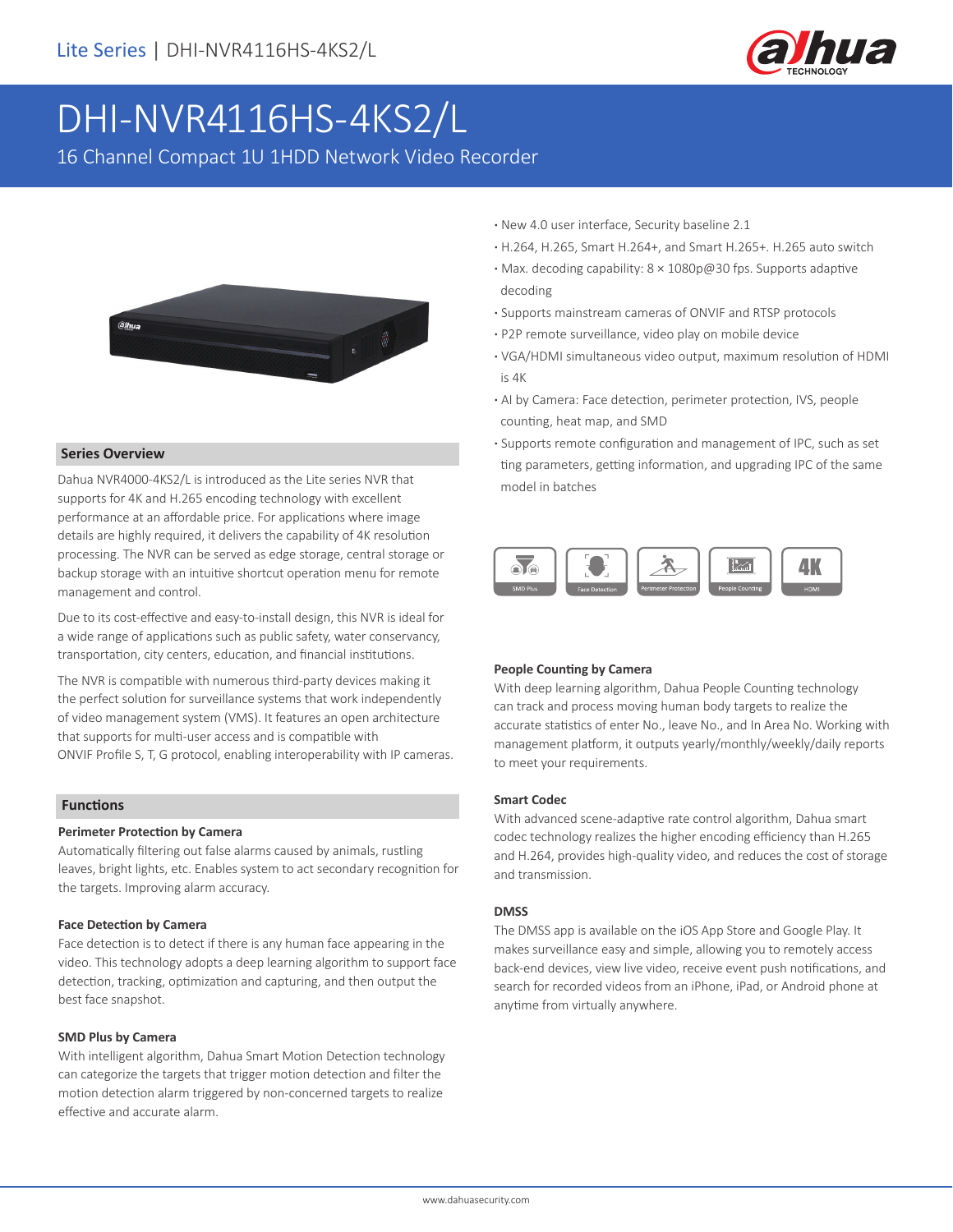

# DHI-NVR4116HS-4KS2/L

16 Channel Compact 1U 1HDD Network Video Recorder



#### **Series Overview**

Dahua NVR4000-4KS2/L is introduced as the Lite series NVR that supports for 4K and H.265 encoding technology with excellent performance at an affordable price. For applications where image details are highly required, it delivers the capability of 4K resolution processing. The NVR can be served as edge storage, central storage or backup storage with an intuitive shortcut operation menu for remote management and control.

Due to its cost-effective and easy-to-install design, this NVR is ideal for a wide range of applications such as public safety, water conservancy, transportation, city centers, education, and financial institutions.

The NVR is compatible with numerous third-party devices making it the perfect solution for surveillance systems that work independently of video management system (VMS). It features an open architecture that supports for multi-user access and is compatible with ONVIF Profile S, T, G protocol, enabling interoperability with IP cameras.

#### **Functions**

#### **Perimeter Protection by Camera**

Automatically filtering out false alarms caused by animals, rustling leaves, bright lights, etc. Enables system to act secondary recognition for the targets. Improving alarm accuracy.

#### **Face Detection by Camera**

Face detection is to detect if there is any human face appearing in the video. This technology adopts a deep learning algorithm to support face detection, tracking, optimization and capturing, and then output the best face snapshot.

#### **SMD Plus by Camera**

With intelligent algorithm, Dahua Smart Motion Detection technology can categorize the targets that trigger motion detection and filter the motion detection alarm triggered by non-concerned targets to realize effective and accurate alarm.

- **·** New 4.0 user interface, Security baseline 2.1
- **·** H.264, H.265, Smart H.264+, and Smart H.265+. H.265 auto switch
- **·** Max. decoding capability: 8 × 1080p@30 fps. Supports adaptive decoding
- **·** Supports mainstream cameras of ONVIF and RTSP protocols
- **·** P2P remote surveillance, video play on mobile device
- **·** VGA/HDMI simultaneous video output, maximum resolution of HDMI is 4K
- **·** AI by Camera: Face detection, perimeter protection, IVS, people counting, heat map, and SMD
- **·** Supports remote configuration and management of IPC, such as set ting parameters, getting information, and upgrading IPC of the same model in batches



#### **People Counting by Camera**

With deep learning algorithm, Dahua People Counting technology can track and process moving human body targets to realize the accurate statistics of enter No., leave No., and In Area No. Working with management platform, it outputs yearly/monthly/weekly/daily reports to meet your requirements.

#### **Smart Codec**

With advanced scene-adaptive rate control algorithm, Dahua smart codec technology realizes the higher encoding efficiency than H.265 and H.264, provides high-quality video, and reduces the cost of storage and transmission.

#### **DMSS**

The DMSS app is available on the iOS App Store and Google Play. It makes surveillance easy and simple, allowing you to remotely access back-end devices, view live video, receive event push notifications, and search for recorded videos from an iPhone, iPad, or Android phone at anytime from virtually anywhere.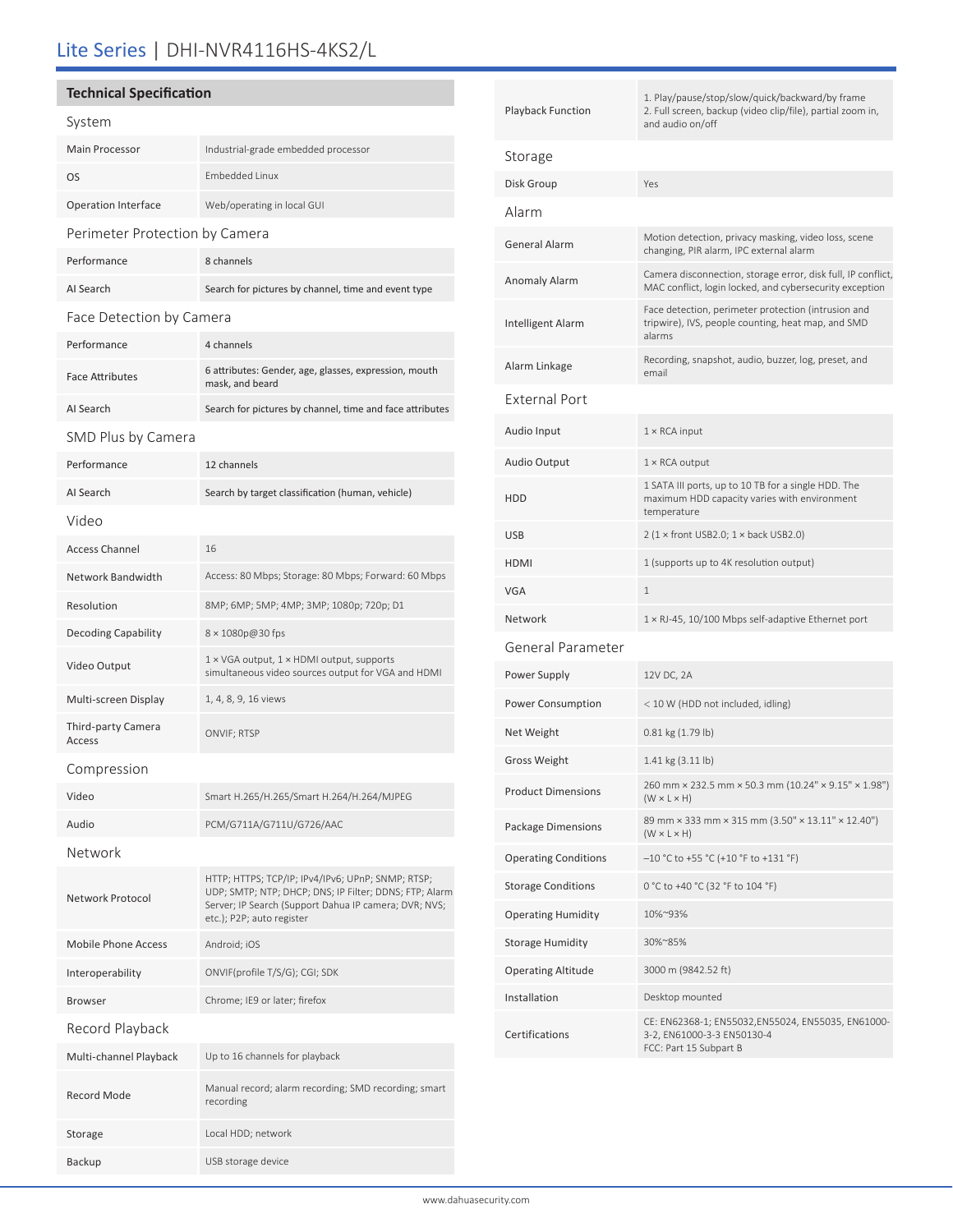# Lite Series | DHI-NVR4116HS-4KS2/L

### **Technical Specification**

| System                         |                                                                                                                                                                                                   |  |  |
|--------------------------------|---------------------------------------------------------------------------------------------------------------------------------------------------------------------------------------------------|--|--|
| Main Processor                 | Industrial-grade embedded processor                                                                                                                                                               |  |  |
| OS                             | <b>Embedded Linux</b>                                                                                                                                                                             |  |  |
| <b>Operation Interface</b>     | Web/operating in local GUI                                                                                                                                                                        |  |  |
| Perimeter Protection by Camera |                                                                                                                                                                                                   |  |  |
| Performance                    | 8 channels                                                                                                                                                                                        |  |  |
| AI Search                      | Search for pictures by channel, time and event type                                                                                                                                               |  |  |
| Face Detection by Camera       |                                                                                                                                                                                                   |  |  |
| Performance                    | 4 channels                                                                                                                                                                                        |  |  |
| <b>Face Attributes</b>         | 6 attributes: Gender, age, glasses, expression, mouth<br>mask, and beard                                                                                                                          |  |  |
| AI Search                      | Search for pictures by channel, time and face attributes                                                                                                                                          |  |  |
| SMD Plus by Camera             |                                                                                                                                                                                                   |  |  |
| Performance                    | 12 channels                                                                                                                                                                                       |  |  |
| AI Search                      | Search by target classification (human, vehicle)                                                                                                                                                  |  |  |
| Video                          |                                                                                                                                                                                                   |  |  |
| <b>Access Channel</b>          | 16                                                                                                                                                                                                |  |  |
| Network Bandwidth              | Access: 80 Mbps; Storage: 80 Mbps; Forward: 60 Mbps                                                                                                                                               |  |  |
| Resolution                     | 8MP; 6MP; 5MP; 4MP; 3MP; 1080p; 720p; D1                                                                                                                                                          |  |  |
| <b>Decoding Capability</b>     | 8 × 1080p@30 fps                                                                                                                                                                                  |  |  |
| Video Output                   | 1 × VGA output, 1 × HDMI output, supports<br>simultaneous video sources output for VGA and HDMI                                                                                                   |  |  |
| Multi-screen Display           | 1, 4, 8, 9, 16 views                                                                                                                                                                              |  |  |
| Third-party Camera<br>Access   | ONVIF; RTSP                                                                                                                                                                                       |  |  |
| Compression                    |                                                                                                                                                                                                   |  |  |
| Video                          | Smart H.265/H.265/Smart H.264/H.264/MJPEG                                                                                                                                                         |  |  |
| Audio                          | PCM/G711A/G711U/G726/AAC                                                                                                                                                                          |  |  |
| Network                        |                                                                                                                                                                                                   |  |  |
| Network Protocol               | HTTP; HTTPS; TCP/IP; IPv4/IPv6; UPnP; SNMP; RTSP;<br>UDP; SMTP; NTP; DHCP; DNS; IP Filter; DDNS; FTP; Alarm<br>Server; IP Search (Support Dahua IP camera; DVR; NVS;<br>etc.); P2P; auto register |  |  |
| <b>Mobile Phone Access</b>     | Android; iOS                                                                                                                                                                                      |  |  |
| Interoperability               | ONVIF(profile T/S/G); CGI; SDK                                                                                                                                                                    |  |  |
| <b>Browser</b>                 | Chrome; IE9 or later; firefox                                                                                                                                                                     |  |  |
| Record Playback                |                                                                                                                                                                                                   |  |  |
| Multi-channel Playback         | Up to 16 channels for playback                                                                                                                                                                    |  |  |
| <b>Record Mode</b>             | Manual record; alarm recording; SMD recording; smart<br>recording                                                                                                                                 |  |  |
| Storage                        | Local HDD; network                                                                                                                                                                                |  |  |

Backup USB storage device

| <b>Playback Function</b>    | 1. Play/pause/stop/slow/quick/backward/by frame<br>2. Full screen, backup (video clip/file), partial zoom in,<br>and audio on/off |  |  |  |
|-----------------------------|-----------------------------------------------------------------------------------------------------------------------------------|--|--|--|
| Storage                     |                                                                                                                                   |  |  |  |
| Disk Group                  | Yes                                                                                                                               |  |  |  |
| Alarm                       |                                                                                                                                   |  |  |  |
| <b>General Alarm</b>        | Motion detection, privacy masking, video loss, scene<br>changing, PIR alarm, IPC external alarm                                   |  |  |  |
| Anomaly Alarm               | Camera disconnection, storage error, disk full, IP conflict,<br>MAC conflict, login locked, and cybersecurity exception           |  |  |  |
| <b>Intelligent Alarm</b>    | Face detection, perimeter protection (intrusion and<br>tripwire), IVS, people counting, heat map, and SMD<br>alarms               |  |  |  |
| Alarm Linkage               | Recording, snapshot, audio, buzzer, log, preset, and<br>email                                                                     |  |  |  |
| External Port               |                                                                                                                                   |  |  |  |
| Audio Input                 | $1 \times$ RCA input                                                                                                              |  |  |  |
| <b>Audio Output</b>         | $1 \times$ RCA output                                                                                                             |  |  |  |
| <b>HDD</b>                  | 1 SATA III ports, up to 10 TB for a single HDD. The<br>maximum HDD capacity varies with environment<br>temperature                |  |  |  |
| <b>USB</b>                  | $2 (1 \times$ front USB2.0; $1 \times$ back USB2.0)                                                                               |  |  |  |
| <b>HDMI</b>                 | 1 (supports up to 4K resolution output)                                                                                           |  |  |  |
| <b>VGA</b>                  | $\mathbf{1}$                                                                                                                      |  |  |  |
| Network                     | 1 × RJ-45, 10/100 Mbps self-adaptive Ethernet port                                                                                |  |  |  |
| General Parameter           |                                                                                                                                   |  |  |  |
| Power Supply                | 12V DC, 2A                                                                                                                        |  |  |  |
| Power Consumption           | < 10 W (HDD not included, idling)                                                                                                 |  |  |  |
| Net Weight                  | $0.81$ kg $(1.79$ lb)                                                                                                             |  |  |  |
| <b>Gross Weight</b>         | $1.41 \text{ kg} (3.11 \text{ lb})$                                                                                               |  |  |  |
| <b>Product Dimensions</b>   | 260 mm × 232.5 mm × 50.3 mm (10.24" × 9.15" × 1.98")<br>$(W \times L \times H)$                                                   |  |  |  |
| Package Dimensions          | 89 mm × 333 mm × 315 mm (3.50" × 13.11" × 12.40")<br>$(W \times L \times H)$                                                      |  |  |  |
| <b>Operating Conditions</b> | $-10$ °C to +55 °C (+10 °F to +131 °F)                                                                                            |  |  |  |
| <b>Storage Conditions</b>   | 0 °C to +40 °C (32 °F to 104 °F)                                                                                                  |  |  |  |
| <b>Operating Humidity</b>   | 10%~93%                                                                                                                           |  |  |  |
| <b>Storage Humidity</b>     | 30%~85%                                                                                                                           |  |  |  |
| <b>Operating Altitude</b>   | 3000 m (9842.52 ft)                                                                                                               |  |  |  |
| Installation                | Desktop mounted                                                                                                                   |  |  |  |
| Certifications              | CE: EN62368-1; EN55032,EN55024, EN55035, EN61000-<br>3-2, EN61000-3-3 EN50130-4<br>FCC: Part 15 Subpart B                         |  |  |  |